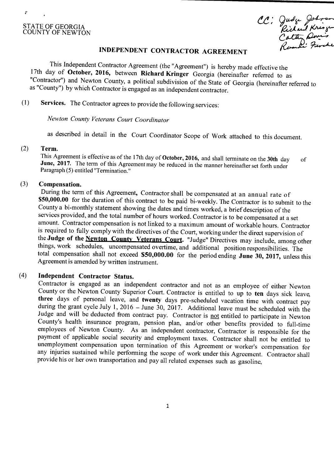# STATE OF GEORGIA<br>COUNTY OF NEWTON

 $\mathcal{F}$ 

CC: Judge Johnson<br>Richard Kringen<br>Cathy Dove's<br>Remail: Frank

## INDEPENDENT CONTRACTOR AGREEMENT

This Independent Contractor Agreement (the "Agreement") is hereby made effective the 17th day of October, 2016, between Richard Kringer Georgia (hereinafter referred to as Contractor") and Newton County, a political subdivision of the State of Georgia ( hereinafter referred to as "County") by which Contractor is engaged as an independent contractor.

1) Services. The Contractor agrees to provide the following services:

Newton County veterans Court Coordinator

as described in detail in the Court Coordinator Scope of Work attached to this document.

#### 2) Term.

This Agreement is effective as of the 17th day of October, 2016, and shall terminate on the 30th day of June, 2017. The term of this Agreement may be reduced in the manner hereinafter set forth under Paragraph (5) entitled "Termination."

#### 3) Compensation.

During the term of this Agreement, Contractor shall be compensated at an annual rate of \$50,000.00 for the duration of this contract to be paid bi-weekly. The Contractor is to submit to the County a bi-monthly statement showing the dates and times worked, a brief description of the services provided, and the total number of hours worked. Contractor is to be compensated at <sup>a</sup> set amount. Contractor compensation is not linked to <sup>a</sup> maximum amount of workable hours. Contractor is required to fully comply with the directives of the Court, working under the direct supervision of the Judge of the Newton County Veterans Court. "Judge" Directives may include, among other things, work schedules, uncompensated overtime, and additional position responsibilities. The total compensation shall not exceed \$50,000.00 for the period ending June 30, 2017, unless this Agreement is amended by written instrument.

### 4) Independent Contractor Status.

Contractor is engaged as an independent contractor and not as an employee of either Newton County or the Newton County Superior Court. Contractor is entitled to up to ten days sick leave, three days of personal leave, and twenty days pre- scheduled vacation time with contract pay during the grant cycle July 1, 2016 — June 30, 2017. Additional leave must be scheduled with the Judge and will be deducted from contract pay. Contractor is not entitled to participate in Newton County's health insurance program, pension plan, and/or other benefits provided to full-time employees of Newton County. As an independent contractor, Contractor is responsible for the payment of applicable social security and employment taxes. Contractor shall not be entitled to unemployment compensation upon termination of this Agreement or worker's compensation for any injuries sustained while performing the scope of work under this Agreement. Contractor shall provide his or her own transportation and pay all related expenses such as gasoline,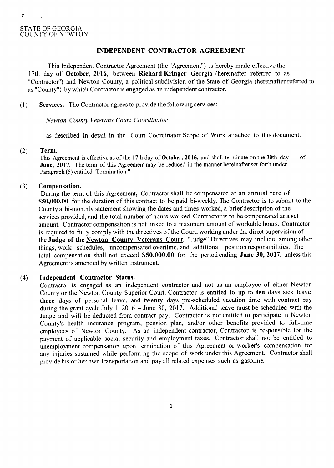è

1

#### INDEPENDENT CONTRACTOR AGREEMENT

This Independent Contractor Agreement (the "Agreement") is hereby made effective the 17th day of October, 2016, between Richard Kringer Georgia (hereinafter referred to as Contractor") and Newton County, a political subdivision of the State of Georgia ( hereinafter referred to as" County") by which Contractor is engaged as an independent contractor.

1) Services. The Contractor agrees to provide the following services:

Newton County Veterans Court Coordinator

as described in detail in the Court Coordinator Scope of Work attached to this document.

#### 2) Term.

This Agreement is effective as of the 17th day of **October, 2016,** and shall terminate on the 30th day of June, 2017. The term of this Agreement may be reduced in the manner hereinafter set forth under Paragraph (5) entitled "Termination."

#### 3) Compensation.

During the term of this Agreement, Contractor shall be compensated at an annual rate of **\$50,000.00** for the duration of this contract to be paid bi-weekly. The Contractor is to submit to the County <sup>a</sup> bi-monthly statement showing the dates and times worked, <sup>a</sup> brief description of the services provided, and the total number of hours worked. Contractor is to be compensated at <sup>a</sup> set amount. Contractor compensation is not linked to <sup>a</sup> maximum amount of workable hours. Contractor is required to fully comply with the directives of the Court, working under the direct supervision of the Judge of the Newton County Veterans Court. "Judge" Directives may include, among other things, work schedules, uncompensated overtime, and additional position responsibilities. The total compensation shall not exceed  $$50,000.00$  for the period ending June 30, 2017, unless this Agreement is amended by written instrument.

#### 4) Independent Contractor Status.

Contractor is engaged as an independent contractor and not as an employee of either Newton County or the Newton County Superior Court. Contractor is entitled to up to ten days sick leave, three days of personal leave, and twenty days pre- scheduled vacation time with contract pay during the grant cycle July 1, 2016 — June 30, 2017. Additional leave must be scheduled with the Judge and will be deducted from contract pay. Contractor is not entitled to participate in Newton County's health insurance program, pension plan, and/or other benefits provided to full-time employees of Newton County. As an independent contractor, Contractor is responsible for the payment of applicable social security and employment taxes. Contractor shall not be entitled to unemployment compensation upon termination of this Agreement or worker's compensation for any injuries sustained while performing the scope of work under this Agreement. Contractor shall provide his or her own transportation and pay all related expenses such as gasoline,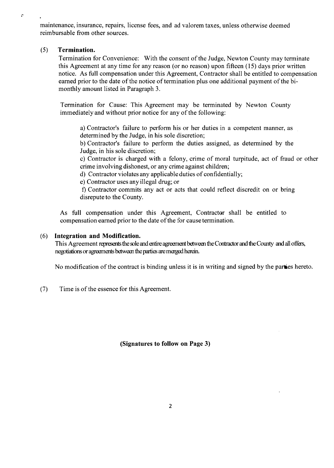maintenance, insurance, repairs, license fees, and ad valorem taxes, unless otherwise deemed reimbursable from other sources.

#### 5) Termination.

 $\sigma$ 

Termination for Convenience: With the consent of the Judge, Newton County may terminate this Agreement at any time for any reason ( or no reason) upon fifteen ( 15) days prior written notice. As full compensation under this Agreement, Contractor shall be entitled to compensation earned prior to the date of the notice of termination plus one additional payment of the bimonthly amount listed in Paragraph 3.

Termination for Cause: This Agreement may be terminated by Newton County immediately and without prior notice for any of the following:

a) Contractor's failure to perform his or her duties in a competent manner, as determined by the Judge, in his sole discretion;

b) Contractor's failure to perform the duties assigned, as determined by the Judge, in his sole discretion;

c) Contractor is charged with <sup>a</sup> felony, crime of moral turpitude, act of fraud or other crime involving dishonest, or any crime against children;

d) Contractor violates any applicable duties of confidentially;

e) Contractor uses any illegal drug; or

f) Contractor commits any act or acts that could reflect discredit on or bring disrepute to the County.

As full compensation under this Agreement, Contractor shall be entitled to compensation earned prior to the date of the for cause termination.

#### 6) Integration and Modification.

This Agreement represents the sole and entire agreement between the Contactor and the County and all offers, negotiations or agreements between the parties are merged herein.

No modification of the contract is binding unless it is in writing and signed by the parties hereto.

7) Time is of the essence for this Agreement.

Signatures to follow on Page 3)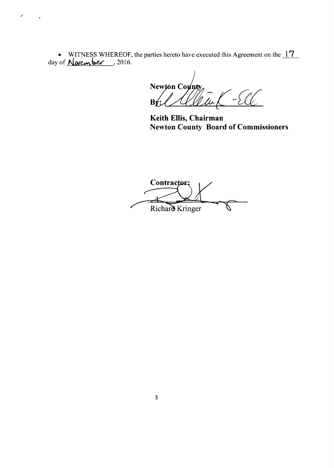WITNESS WHEREOF, the parties hereto have executed this Agreement on the  $17$ day of  $N$  ovember, 2016.

 $\sigma$ 

 $\mathcal{E}_{\mu}$ Newton County  $B\hat{y}$ :

Keith Ellis, Chairman Newton County Board of Commissioners

Contractor;  $\epsilon$ Richard Kringer